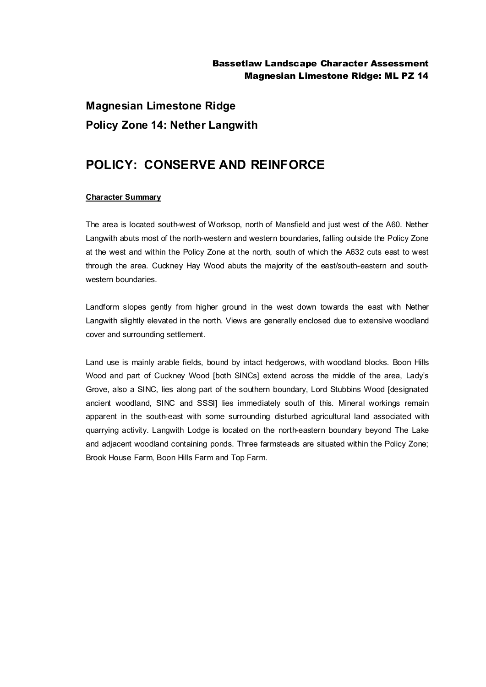## Bassetlaw Landscape Character Assessment Magnesian Limestone Ridge: ML PZ 14

# **Magnesian Limestone Ridge Policy Zone 14: Nether Langwith**

# **POLICY: CONSERVE AND REINFORCE**

### **Character Summary**

The area is located south-west of Worksop, north of Mansfield and just west of the A60. Nether Langwith abuts most of the north-western and western boundaries, falling outside the Policy Zone at the west and within the Policy Zone at the north, south of which the A632 cuts east to west through the area. Cuckney Hay Wood abuts the majority of the east/south-eastern and southwestern boundaries.

Landform slopes gently from higher ground in the west down towards the east with Nether Langwith slightly elevated in the north. Views are generally enclosed due to extensive woodland cover and surrounding settlement.

Land use is mainly arable fields, bound by intact hedgerows, with woodland blocks. Boon Hills Wood and part of Cuckney Wood [both SINCs] extend across the middle of the area, Lady's Grove, also a SINC, lies along part of the southern boundary, Lord Stubbins Wood [designated ancient woodland, SINC and SSSI] lies immediately south of this. Mineral workings remain apparent in the south-east with some surrounding disturbed agricultural land associated with quarrying activity. Langwith Lodge is located on the north-eastern boundary beyond The Lake and adjacent woodland containing ponds. Three farmsteads are situated within the Policy Zone; Brook House Farm, Boon Hills Farm and Top Farm.